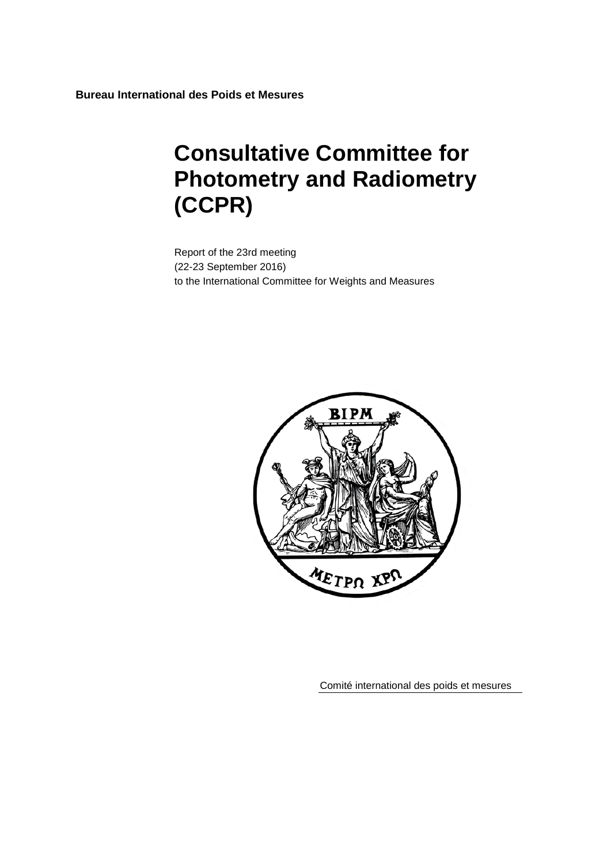**Bureau International des Poids et Mesures**

# **Consultative Committee for Photometry and Radiometry (CCPR)**

Report of the 23rd meeting (22-23 September 2016) to the International Committee for Weights and Measures



Comité international des poids et mesures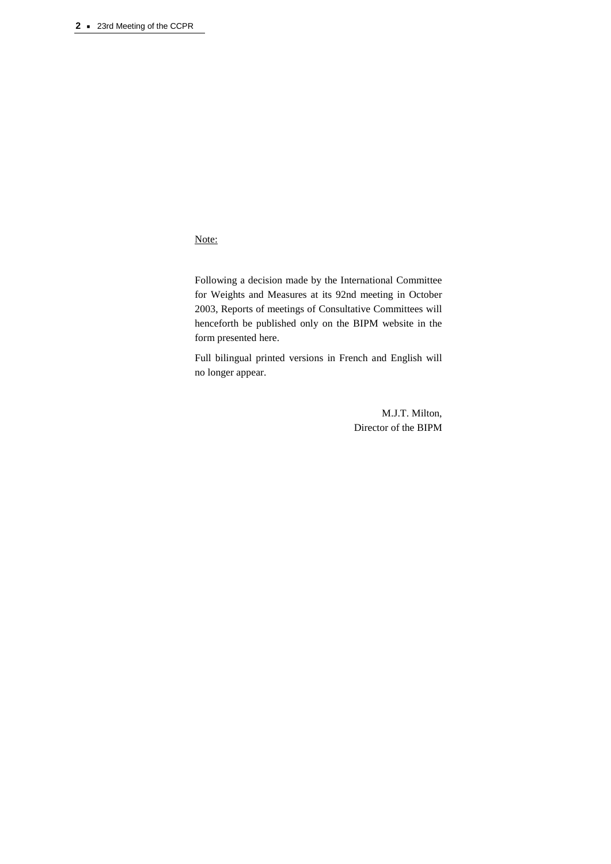Note:

Following a decision made by the International Committee for Weights and Measures at its 92nd meeting in October 2003, Reports of meetings of Consultative Committees will henceforth be published only on the BIPM website in the form presented here.

Full bilingual printed versions in French and English will no longer appear.

> M.J.T. Milton, Director of the BIPM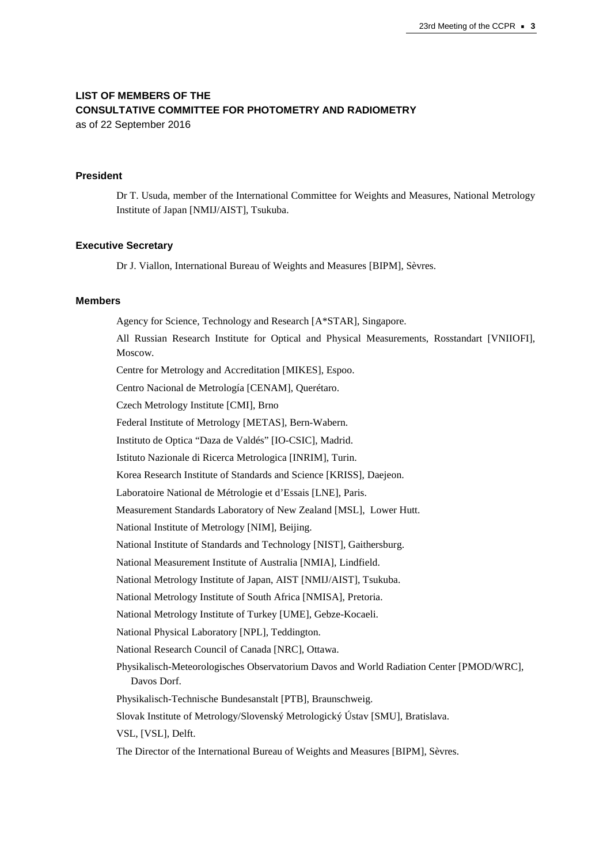# **LIST OF MEMBERS OF THE CONSULTATIVE COMMITTEE FOR PHOTOMETRY AND RADIOMETRY**

as of 22 September 2016

#### **President**

Dr T. Usuda, member of the International Committee for Weights and Measures, National Metrology Institute of Japan [NMIJ/AIST], Tsukuba.

#### **Executive Secretary**

Dr J. Viallon, International Bureau of Weights and Measures [BIPM], Sèvres.

#### **Members**

Agency for Science, Technology and Research [A\*STAR], Singapore. All Russian Research Institute for Optical and Physical Measurements, Rosstandart [VNIIOFI], Moscow. Centre for Metrology and Accreditation [MIKES], Espoo. Centro Nacional de Metrología [CENAM], Querétaro. Czech Metrology Institute [CMI], Brno Federal Institute of Metrology [METAS], Bern-Wabern. Instituto de Optica "Daza de Valdés" [IO-CSIC], Madrid. Istituto Nazionale di Ricerca Metrologica [INRIM], Turin. Korea Research Institute of Standards and Science [KRISS], Daejeon. Laboratoire National de Métrologie et d'Essais [LNE], Paris. Measurement Standards Laboratory of New Zealand [MSL], Lower Hutt. National Institute of Metrology [NIM], Beijing. National Institute of Standards and Technology [NIST], Gaithersburg. National Measurement Institute of Australia [NMIA], Lindfield. National Metrology Institute of Japan, AIST [NMIJ/AIST], Tsukuba. National Metrology Institute of South Africa [NMISA], Pretoria. National Metrology Institute of Turkey [UME], Gebze-Kocaeli. National Physical Laboratory [NPL], Teddington. National Research Council of Canada [NRC], Ottawa. Physikalisch-Meteorologisches Observatorium Davos and World Radiation Center [PMOD/WRC], Davos Dorf. Physikalisch-Technische Bundesanstalt [PTB], Braunschweig. Slovak Institute of Metrology/Slovenský Metrologický Ústav [SMU], Bratislava. VSL, [VSL], Delft. The Director of the International Bureau of Weights and Measures [BIPM], Sèvres.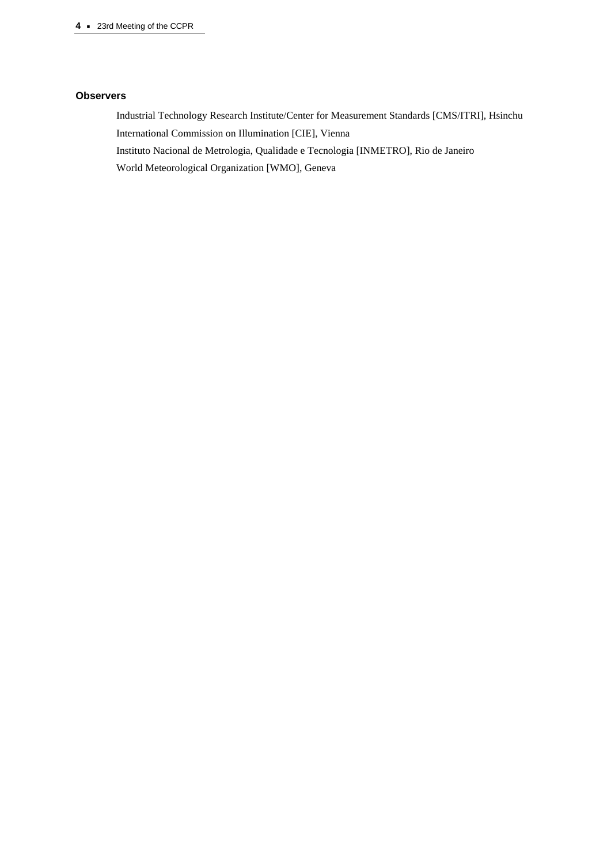#### **<sup>4</sup> ·** 23rd Meeting of the CCPR

#### **Observers**

Industrial Technology Research Institute/Center for Measurement Standards [\[CMS/ITRI\]](http://www.itri.org.tw/eng/CMS/), Hsinchu International Commission on Illumination [CIE], Vienna Instituto Nacional de Metrologia, Qualidade e Tecnologia [INMETRO], Rio de Janeiro World Meteorological Organization [WMO], Geneva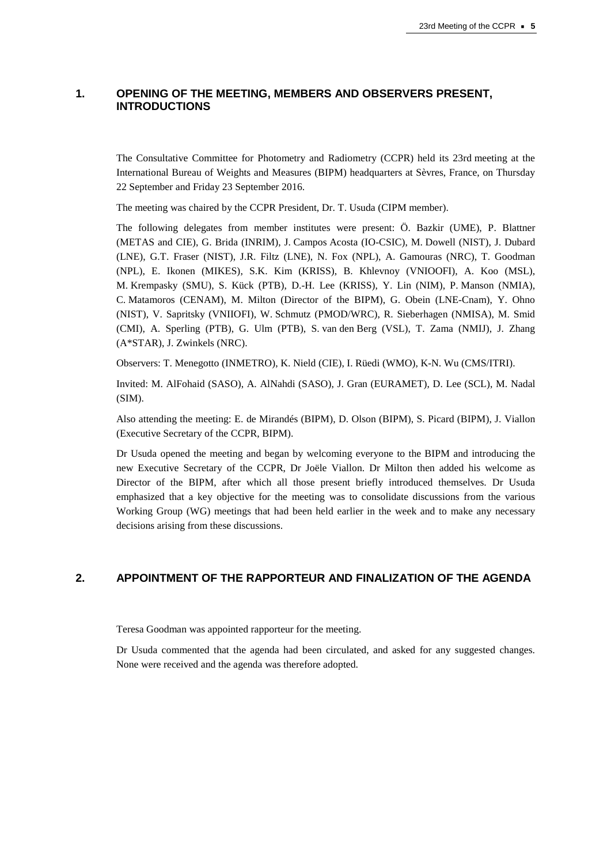# **1. OPENING OF THE MEETING, MEMBERS AND OBSERVERS PRESENT, INTRODUCTIONS**

The Consultative Committee for Photometry and Radiometry (CCPR) held its 23rd meeting at the International Bureau of Weights and Measures (BIPM) headquarters at Sèvres, France, on Thursday 22 September and Friday 23 September 2016.

The meeting was chaired by the CCPR President, Dr. T. Usuda (CIPM member).

The following delegates from member institutes were present: Ö. Bazkir (UME), P. Blattner (METAS and CIE), G. Brida (INRIM), J. Campos Acosta (IO-CSIC), M. Dowell (NIST), J. Dubard (LNE), G.T. Fraser (NIST), J.R. Filtz (LNE), N. Fox (NPL), A. Gamouras (NRC), T. Goodman (NPL), E. Ikonen (MIKES), S.K. Kim (KRISS), B. Khlevnoy (VNIOOFI), A. Koo (MSL), M. Krempasky (SMU), S. Kück (PTB), D.-H. Lee (KRISS), Y. Lin (NIM), P. Manson (NMIA), C. Matamoros (CENAM), M. Milton (Director of the BIPM), G. Obein (LNE-Cnam), Y. Ohno (NIST), V. Sapritsky (VNIIOFI), W. Schmutz (PMOD/WRC), R. Sieberhagen (NMISA), M. Smid (CMI), A. Sperling (PTB), G. Ulm (PTB), S. van den Berg (VSL), T. Zama (NMIJ), J. Zhang (A\*STAR), J. Zwinkels (NRC).

Observers: T. Menegotto (INMETRO), K. Nield (CIE), I. Rüedi (WMO), K-N. Wu (CMS/ITRI).

Invited: M. AlFohaid (SASO), A. AlNahdi (SASO), J. Gran (EURAMET), D. Lee (SCL), M. Nadal (SIM).

Also attending the meeting: E. de Mirandés (BIPM), D. Olson (BIPM), S. Picard (BIPM), J. Viallon (Executive Secretary of the CCPR, BIPM).

Dr Usuda opened the meeting and began by welcoming everyone to the BIPM and introducing the new Executive Secretary of the CCPR, Dr Joële Viallon. Dr Milton then added his welcome as Director of the BIPM, after which all those present briefly introduced themselves. Dr Usuda emphasized that a key objective for the meeting was to consolidate discussions from the various Working Group (WG) meetings that had been held earlier in the week and to make any necessary decisions arising from these discussions.

# **2. APPOINTMENT OF THE RAPPORTEUR AND FINALIZATION OF THE AGENDA**

Teresa Goodman was appointed rapporteur for the meeting.

Dr Usuda commented that the agenda had been circulated, and asked for any suggested changes. None were received and the agenda was therefore adopted.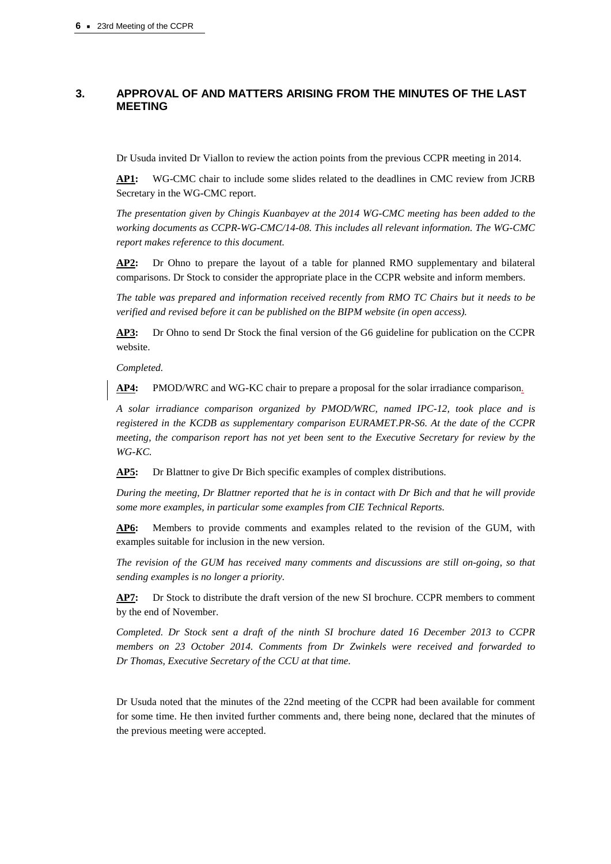# **3. APPROVAL OF AND MATTERS ARISING FROM THE MINUTES OF THE LAST MEETING**

Dr Usuda invited Dr Viallon to review the action points from the previous CCPR meeting in 2014.

**AP1:** WG-CMC chair to include some slides related to the deadlines in CMC review from JCRB Secretary in the WG-CMC report.

*The presentation given by Chingis Kuanbayev at the 2014 WG-CMC meeting has been added to the working documents as CCPR-WG-CMC/14-08. This includes all relevant information. The WG-CMC report makes reference to this document.*

**AP2:** Dr Ohno to prepare the layout of a table for planned RMO supplementary and bilateral comparisons. Dr Stock to consider the appropriate place in the CCPR website and inform members.

*The table was prepared and information received recently from RMO TC Chairs but it needs to be verified and revised before it can be published on the BIPM website (in open access).* 

**AP3:** Dr Ohno to send Dr Stock the final version of the G6 guideline for publication on the CCPR website.

*Completed.* 

**AP4:** PMOD/WRC and WG-KC chair to prepare a proposal for the solar irradiance comparison.

*A solar irradiance comparison organized by PMOD/WRC, named IPC-12, took place and is registered in the KCDB as supplementary comparison EURAMET.PR-S6. At the date of the CCPR meeting, the comparison report has not yet been sent to the Executive Secretary for review by the WG-KC.* 

**AP5:** Dr Blattner to give Dr Bich specific examples of complex distributions.

*During the meeting, Dr Blattner reported that he is in contact with Dr Bich and that he will provide some more examples, in particular some examples from CIE Technical Reports.*

**AP6:** Members to provide comments and examples related to the revision of the GUM, with examples suitable for inclusion in the new version.

*The revision of the GUM has received many comments and discussions are still on-going, so that sending examples is no longer a priority.* 

**AP7:** Dr Stock to distribute the draft version of the new SI brochure. CCPR members to comment by the end of November.

*Completed. Dr Stock sent a draft of the ninth SI brochure dated 16 December 2013 to CCPR members on 23 October 2014. Comments from Dr Zwinkels were received and forwarded to Dr Thomas, Executive Secretary of the CCU at that time.* 

Dr Usuda noted that the minutes of the 22nd meeting of the CCPR had been available for comment for some time. He then invited further comments and, there being none, declared that the minutes of the previous meeting were accepted.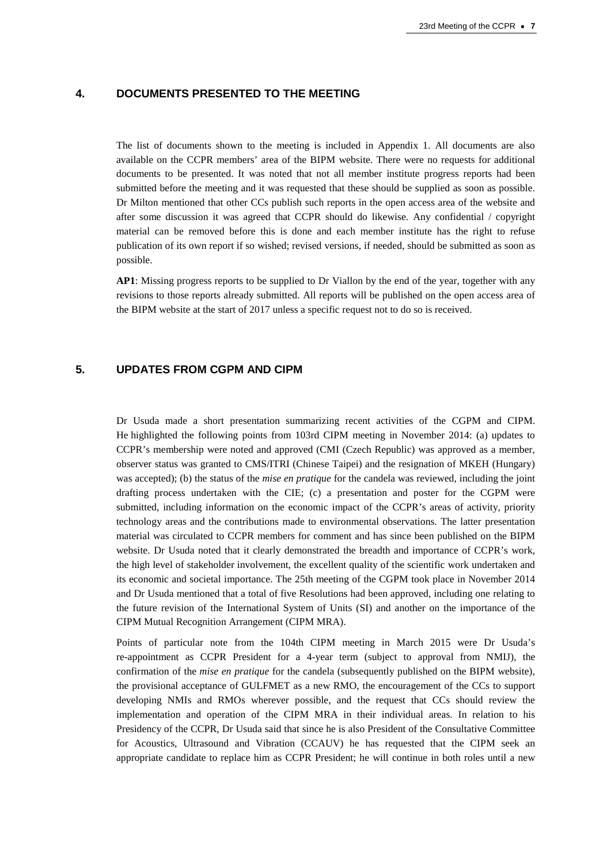# **4. DOCUMENTS PRESENTED TO THE MEETING**

The list of documents shown to the meeting is included in Appendix 1. All documents are also available on the CCPR members' area of the BIPM website. There were no requests for additional documents to be presented. It was noted that not all member institute progress reports had been submitted before the meeting and it was requested that these should be supplied as soon as possible. Dr Milton mentioned that other CCs publish such reports in the open access area of the website and after some discussion it was agreed that CCPR should do likewise. Any confidential / copyright material can be removed before this is done and each member institute has the right to refuse publication of its own report if so wished; revised versions, if needed, should be submitted as soon as possible.

**AP1**: Missing progress reports to be supplied to Dr Viallon by the end of the year, together with any revisions to those reports already submitted. All reports will be published on the open access area of the BIPM website at the start of 2017 unless a specific request not to do so is received.

# **5. UPDATES FROM CGPM AND CIPM**

Dr Usuda made a short presentation summarizing recent activities of the CGPM and CIPM. He highlighted the following points from 103rd CIPM meeting in November 2014: (a) updates to CCPR's membership were noted and approved (CMI (Czech Republic) was approved as a member, observer status was granted to CMS/ITRI (Chinese Taipei) and the resignation of MKEH (Hungary) was accepted); (b) the status of the *mise en pratique* for the candela was reviewed, including the joint drafting process undertaken with the CIE; (c) a presentation and poster for the CGPM were submitted, including information on the economic impact of the CCPR's areas of activity, priority technology areas and the contributions made to environmental observations. The latter presentation material was circulated to CCPR members for comment and has since been published on the BIPM website. Dr Usuda noted that it clearly demonstrated the breadth and importance of CCPR's work, the high level of stakeholder involvement, the excellent quality of the scientific work undertaken and its economic and societal importance. The 25th meeting of the CGPM took place in November 2014 and Dr Usuda mentioned that a total of five Resolutions had been approved, including one relating to the future revision of the International System of Units (SI) and another on the importance of the CIPM Mutual Recognition Arrangement (CIPM MRA).

Points of particular note from the 104th CIPM meeting in March 2015 were Dr Usuda's re-appointment as CCPR President for a 4-year term (subject to approval from NMIJ), the confirmation of the *mise en pratique* for the candela (subsequently published on the BIPM website), the provisional acceptance of GULFMET as a new RMO, the encouragement of the CCs to support developing NMIs and RMOs wherever possible, and the request that CCs should review the implementation and operation of the CIPM MRA in their individual areas. In relation to his Presidency of the CCPR, Dr Usuda said that since he is also President of the Consultative Committee for Acoustics, Ultrasound and Vibration (CCAUV) he has requested that the CIPM seek an appropriate candidate to replace him as CCPR President; he will continue in both roles until a new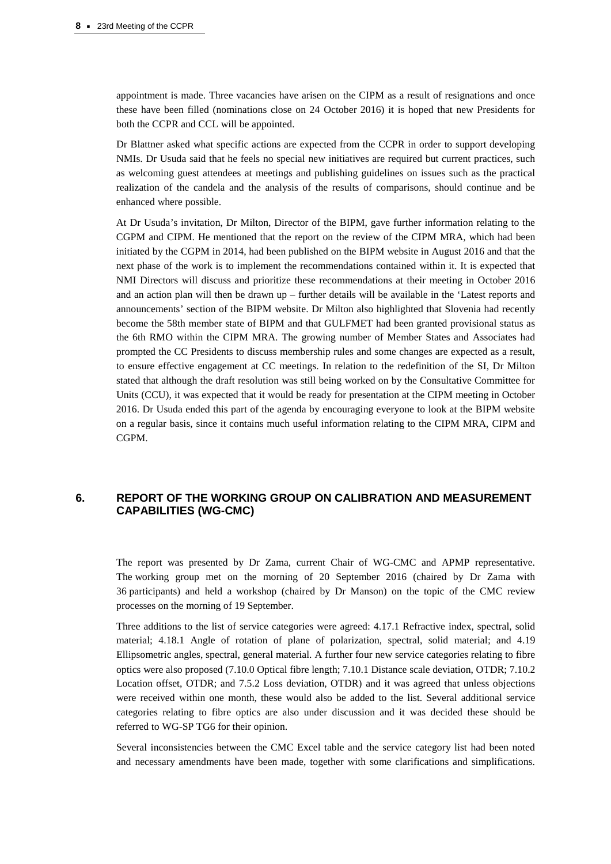appointment is made. Three vacancies have arisen on the CIPM as a result of resignations and once these have been filled (nominations close on 24 October 2016) it is hoped that new Presidents for both the CCPR and CCL will be appointed.

Dr Blattner asked what specific actions are expected from the CCPR in order to support developing NMIs. Dr Usuda said that he feels no special new initiatives are required but current practices, such as welcoming guest attendees at meetings and publishing guidelines on issues such as the practical realization of the candela and the analysis of the results of comparisons, should continue and be enhanced where possible.

At Dr Usuda's invitation, Dr Milton, Director of the BIPM, gave further information relating to the CGPM and CIPM. He mentioned that the report on the review of the CIPM MRA, which had been initiated by the CGPM in 2014, had been published on the BIPM website in August 2016 and that the next phase of the work is to implement the recommendations contained within it. It is expected that NMI Directors will discuss and prioritize these recommendations at their meeting in October 2016 and an action plan will then be drawn up – further details will be available in the 'Latest reports and announcements' section of the BIPM website. Dr Milton also highlighted that Slovenia had recently become the 58th member state of BIPM and that GULFMET had been granted provisional status as the 6th RMO within the CIPM MRA. The growing number of Member States and Associates had prompted the CC Presidents to discuss membership rules and some changes are expected as a result, to ensure effective engagement at CC meetings. In relation to the redefinition of the SI, Dr Milton stated that although the draft resolution was still being worked on by the Consultative Committee for Units (CCU), it was expected that it would be ready for presentation at the CIPM meeting in October 2016. Dr Usuda ended this part of the agenda by encouraging everyone to look at the BIPM website on a regular basis, since it contains much useful information relating to the CIPM MRA, CIPM and CGPM.

# **6. REPORT OF THE WORKING GROUP ON CALIBRATION AND MEASUREMENT CAPABILITIES (WG-CMC)**

The report was presented by Dr Zama, current Chair of WG-CMC and APMP representative. The working group met on the morning of 20 September 2016 (chaired by Dr Zama with 36 participants) and held a workshop (chaired by Dr Manson) on the topic of the CMC review processes on the morning of 19 September.

Three additions to the list of service categories were agreed: 4.17.1 Refractive index, spectral, solid material; 4.18.1 Angle of rotation of plane of polarization, spectral, solid material; and 4.19 Ellipsometric angles, spectral, general material. A further four new service categories relating to fibre optics were also proposed (7.10.0 Optical fibre length; 7.10.1 Distance scale deviation, OTDR; 7.10.2 Location offset, OTDR; and 7.5.2 Loss deviation, OTDR) and it was agreed that unless objections were received within one month, these would also be added to the list. Several additional service categories relating to fibre optics are also under discussion and it was decided these should be referred to WG-SP TG6 for their opinion.

Several inconsistencies between the CMC Excel table and the service category list had been noted and necessary amendments have been made, together with some clarifications and simplifications.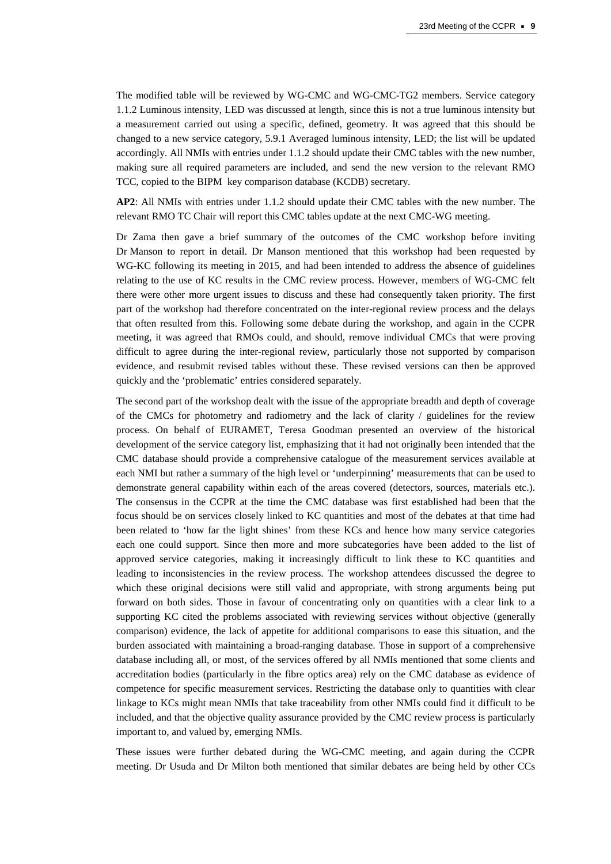The modified table will be reviewed by WG-CMC and WG-CMC-TG2 members. Service category 1.1.2 Luminous intensity, LED was discussed at length, since this is not a true luminous intensity but a measurement carried out using a specific, defined, geometry. It was agreed that this should be changed to a new service category, 5.9.1 Averaged luminous intensity, LED; the list will be updated accordingly. All NMIs with entries under 1.1.2 should update their CMC tables with the new number, making sure all required parameters are included, and send the new version to the relevant RMO TCC, copied to the BIPM key comparison database (KCDB) secretary.

**AP2**: All NMIs with entries under 1.1.2 should update their CMC tables with the new number. The relevant RMO TC Chair will report this CMC tables update at the next CMC-WG meeting.

Dr Zama then gave a brief summary of the outcomes of the CMC workshop before inviting Dr Manson to report in detail. Dr Manson mentioned that this workshop had been requested by WG-KC following its meeting in 2015, and had been intended to address the absence of guidelines relating to the use of KC results in the CMC review process. However, members of WG-CMC felt there were other more urgent issues to discuss and these had consequently taken priority. The first part of the workshop had therefore concentrated on the inter-regional review process and the delays that often resulted from this. Following some debate during the workshop, and again in the CCPR meeting, it was agreed that RMOs could, and should, remove individual CMCs that were proving difficult to agree during the inter-regional review, particularly those not supported by comparison evidence, and resubmit revised tables without these. These revised versions can then be approved quickly and the 'problematic' entries considered separately.

The second part of the workshop dealt with the issue of the appropriate breadth and depth of coverage of the CMCs for photometry and radiometry and the lack of clarity / guidelines for the review process. On behalf of EURAMET, Teresa Goodman presented an overview of the historical development of the service category list, emphasizing that it had not originally been intended that the CMC database should provide a comprehensive catalogue of the measurement services available at each NMI but rather a summary of the high level or 'underpinning' measurements that can be used to demonstrate general capability within each of the areas covered (detectors, sources, materials etc.). The consensus in the CCPR at the time the CMC database was first established had been that the focus should be on services closely linked to KC quantities and most of the debates at that time had been related to 'how far the light shines' from these KCs and hence how many service categories each one could support. Since then more and more subcategories have been added to the list of approved service categories, making it increasingly difficult to link these to KC quantities and leading to inconsistencies in the review process. The workshop attendees discussed the degree to which these original decisions were still valid and appropriate, with strong arguments being put forward on both sides. Those in favour of concentrating only on quantities with a clear link to a supporting KC cited the problems associated with reviewing services without objective (generally comparison) evidence, the lack of appetite for additional comparisons to ease this situation, and the burden associated with maintaining a broad-ranging database. Those in support of a comprehensive database including all, or most, of the services offered by all NMIs mentioned that some clients and accreditation bodies (particularly in the fibre optics area) rely on the CMC database as evidence of competence for specific measurement services. Restricting the database only to quantities with clear linkage to KCs might mean NMIs that take traceability from other NMIs could find it difficult to be included, and that the objective quality assurance provided by the CMC review process is particularly important to, and valued by, emerging NMIs.

These issues were further debated during the WG-CMC meeting, and again during the CCPR meeting. Dr Usuda and Dr Milton both mentioned that similar debates are being held by other CCs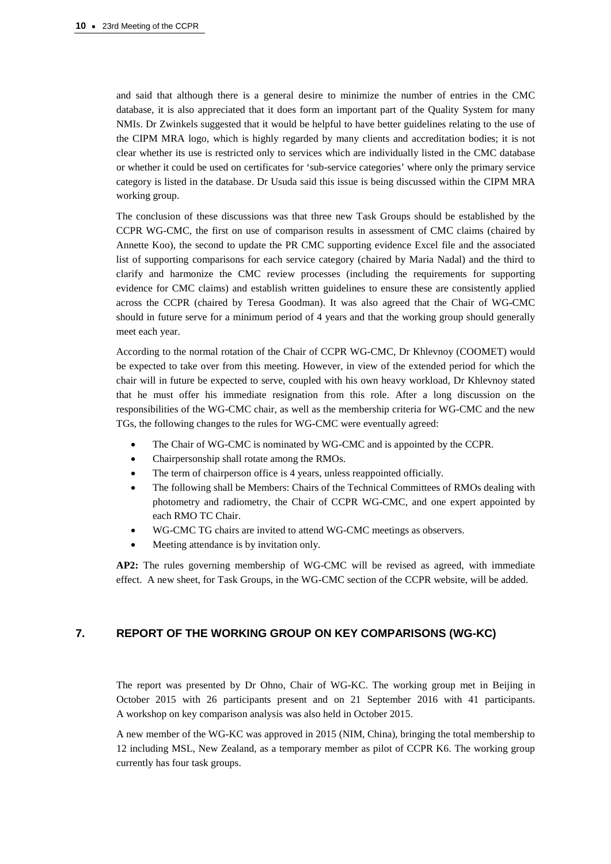and said that although there is a general desire to minimize the number of entries in the CMC database, it is also appreciated that it does form an important part of the Quality System for many NMIs. Dr Zwinkels suggested that it would be helpful to have better guidelines relating to the use of the CIPM MRA logo, which is highly regarded by many clients and accreditation bodies; it is not clear whether its use is restricted only to services which are individually listed in the CMC database or whether it could be used on certificates for 'sub-service categories' where only the primary service category is listed in the database. Dr Usuda said this issue is being discussed within the CIPM MRA working group.

The conclusion of these discussions was that three new Task Groups should be established by the CCPR WG-CMC, the first on use of comparison results in assessment of CMC claims (chaired by Annette Koo), the second to update the PR CMC supporting evidence Excel file and the associated list of supporting comparisons for each service category (chaired by Maria Nadal) and the third to clarify and harmonize the CMC review processes (including the requirements for supporting evidence for CMC claims) and establish written guidelines to ensure these are consistently applied across the CCPR (chaired by Teresa Goodman). It was also agreed that the Chair of WG-CMC should in future serve for a minimum period of 4 years and that the working group should generally meet each year.

According to the normal rotation of the Chair of CCPR WG-CMC, Dr Khlevnoy (COOMET) would be expected to take over from this meeting. However, in view of the extended period for which the chair will in future be expected to serve, coupled with his own heavy workload, Dr Khlevnoy stated that he must offer his immediate resignation from this role. After a long discussion on the responsibilities of the WG-CMC chair, as well as the membership criteria for WG-CMC and the new TGs, the following changes to the rules for WG-CMC were eventually agreed:

- The Chair of WG-CMC is nominated by WG-CMC and is appointed by the CCPR.
- Chairpersonship shall rotate among the RMOs.
- The term of chairperson office is 4 years, unless reappointed officially.
- The following shall be Members: Chairs of the Technical Committees of RMOs dealing with photometry and radiometry, the Chair of CCPR WG-CMC, and one expert appointed by each RMO TC Chair.
- WG-CMC TG chairs are invited to attend WG-CMC meetings as observers.
- Meeting attendance is by invitation only.

**AP2:** The rules governing membership of WG-CMC will be revised as agreed, with immediate effect. A new sheet, for Task Groups, in the WG-CMC section of the CCPR website, will be added.

# **7. REPORT OF THE WORKING GROUP ON KEY COMPARISONS (WG-KC)**

The report was presented by Dr Ohno, Chair of WG-KC. The working group met in Beijing in October 2015 with 26 participants present and on 21 September 2016 with 41 participants. A workshop on key comparison analysis was also held in October 2015.

A new member of the WG-KC was approved in 2015 (NIM, China), bringing the total membership to 12 including MSL, New Zealand, as a temporary member as pilot of CCPR K6. The working group currently has four task groups.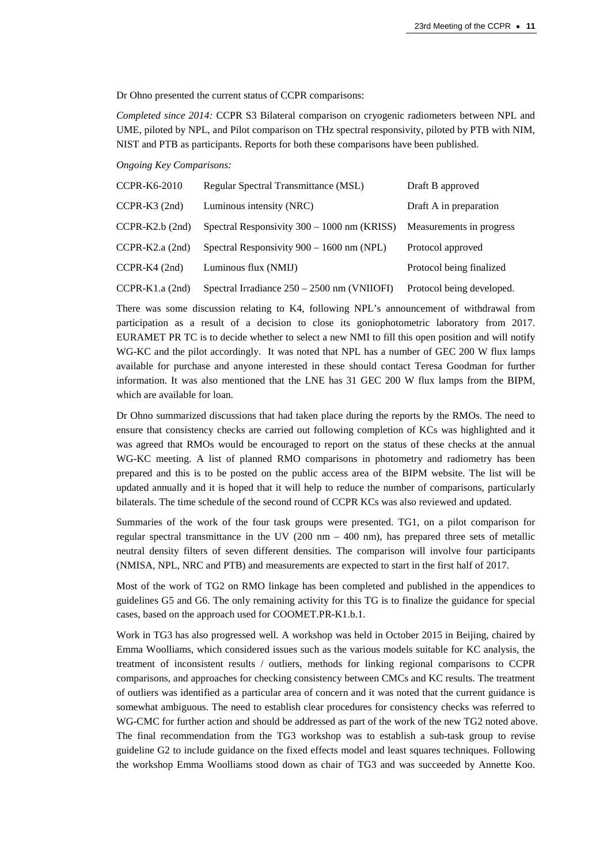Dr Ohno presented the current status of CCPR comparisons:

*Completed since 2014:* CCPR S3 Bilateral comparison on cryogenic radiometers between NPL and UME, piloted by NPL, and Pilot comparison on THz spectral responsivity, piloted by PTB with NIM, NIST and PTB as participants. Reports for both these comparisons have been published.

*Ongoing Key Comparisons:*

| <b>CCPR-K6-2010</b> | Regular Spectral Transmittance (MSL)          | Draft B approved          |
|---------------------|-----------------------------------------------|---------------------------|
| $CCPR-K3 (2nd)$     | Luminous intensity (NRC)                      | Draft A in preparation    |
| $CCPR-K2.b$ (2nd)   | Spectral Responsivity 300 – 1000 nm (KRISS)   | Measurements in progress  |
| $CCPR-K2.a (2nd)$   | Spectral Responsivity $900 - 1600$ nm (NPL)   | Protocol approved         |
| $CCPR-K4 (2nd)$     | Luminous flux (NMIJ)                          | Protocol being finalized  |
| $CCPR-K1.a (2nd)$   | Spectral Irradiance $250 - 2500$ nm (VNIIOFI) | Protocol being developed. |

There was some discussion relating to K4, following NPL's announcement of withdrawal from participation as a result of a decision to close its goniophotometric laboratory from 2017. EURAMET PR TC is to decide whether to select a new NMI to fill this open position and will notify WG-KC and the pilot accordingly. It was noted that NPL has a number of GEC 200 W flux lamps available for purchase and anyone interested in these should contact Teresa Goodman for further information. It was also mentioned that the LNE has 31 GEC 200 W flux lamps from the BIPM, which are available for loan.

Dr Ohno summarized discussions that had taken place during the reports by the RMOs. The need to ensure that consistency checks are carried out following completion of KCs was highlighted and it was agreed that RMOs would be encouraged to report on the status of these checks at the annual WG-KC meeting. A list of planned RMO comparisons in photometry and radiometry has been prepared and this is to be posted on the public access area of the BIPM website. The list will be updated annually and it is hoped that it will help to reduce the number of comparisons, particularly bilaterals. The time schedule of the second round of CCPR KCs was also reviewed and updated.

Summaries of the work of the four task groups were presented. TG1, on a pilot comparison for regular spectral transmittance in the UV  $(200 \text{ nm} - 400 \text{ nm})$ , has prepared three sets of metallic neutral density filters of seven different densities. The comparison will involve four participants (NMISA, NPL, NRC and PTB) and measurements are expected to start in the first half of 2017.

Most of the work of TG2 on RMO linkage has been completed and published in the appendices to guidelines G5 and G6. The only remaining activity for this TG is to finalize the guidance for special cases, based on the approach used for COOMET.PR-K1.b.1.

Work in TG3 has also progressed well. A workshop was held in October 2015 in Beijing, chaired by Emma Woolliams, which considered issues such as the various models suitable for KC analysis, the treatment of inconsistent results / outliers, methods for linking regional comparisons to CCPR comparisons, and approaches for checking consistency between CMCs and KC results. The treatment of outliers was identified as a particular area of concern and it was noted that the current guidance is somewhat ambiguous. The need to establish clear procedures for consistency checks was referred to WG-CMC for further action and should be addressed as part of the work of the new TG2 noted above. The final recommendation from the TG3 workshop was to establish a sub-task group to revise guideline G2 to include guidance on the fixed effects model and least squares techniques. Following the workshop Emma Woolliams stood down as chair of TG3 and was succeeded by Annette Koo.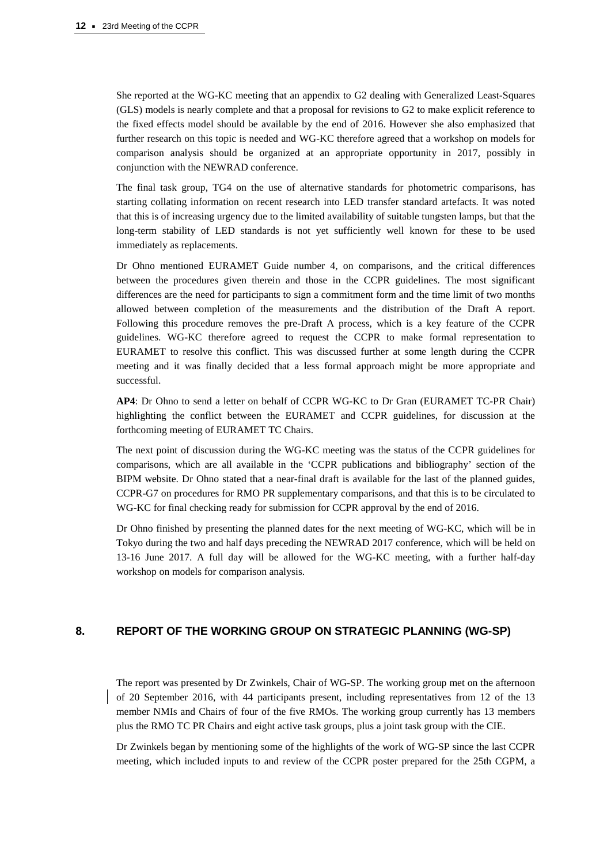She reported at the WG-KC meeting that an appendix to G2 dealing with Generalized Least-Squares (GLS) models is nearly complete and that a proposal for revisions to G2 to make explicit reference to the fixed effects model should be available by the end of 2016. However she also emphasized that further research on this topic is needed and WG-KC therefore agreed that a workshop on models for comparison analysis should be organized at an appropriate opportunity in 2017, possibly in conjunction with the NEWRAD conference.

The final task group, TG4 on the use of alternative standards for photometric comparisons, has starting collating information on recent research into LED transfer standard artefacts. It was noted that this is of increasing urgency due to the limited availability of suitable tungsten lamps, but that the long-term stability of LED standards is not yet sufficiently well known for these to be used immediately as replacements.

Dr Ohno mentioned EURAMET Guide number 4, on comparisons, and the critical differences between the procedures given therein and those in the CCPR guidelines. The most significant differences are the need for participants to sign a commitment form and the time limit of two months allowed between completion of the measurements and the distribution of the Draft A report. Following this procedure removes the pre-Draft A process, which is a key feature of the CCPR guidelines. WG-KC therefore agreed to request the CCPR to make formal representation to EURAMET to resolve this conflict. This was discussed further at some length during the CCPR meeting and it was finally decided that a less formal approach might be more appropriate and successful.

**AP4**: Dr Ohno to send a letter on behalf of CCPR WG-KC to Dr Gran (EURAMET TC-PR Chair) highlighting the conflict between the EURAMET and CCPR guidelines, for discussion at the forthcoming meeting of EURAMET TC Chairs.

The next point of discussion during the WG-KC meeting was the status of the CCPR guidelines for comparisons, which are all available in the 'CCPR publications and bibliography' section of the BIPM website. Dr Ohno stated that a near-final draft is available for the last of the planned guides, CCPR-G7 on procedures for RMO PR supplementary comparisons, and that this is to be circulated to WG-KC for final checking ready for submission for CCPR approval by the end of 2016.

Dr Ohno finished by presenting the planned dates for the next meeting of WG-KC, which will be in Tokyo during the two and half days preceding the NEWRAD 2017 conference, which will be held on 13-16 June 2017. A full day will be allowed for the WG-KC meeting, with a further half-day workshop on models for comparison analysis.

# **8. REPORT OF THE WORKING GROUP ON STRATEGIC PLANNING (WG-SP)**

The report was presented by Dr Zwinkels, Chair of WG-SP. The working group met on the afternoon of 20 September 2016, with 44 participants present, including representatives from 12 of the 13 member NMIs and Chairs of four of the five RMOs. The working group currently has 13 members plus the RMO TC PR Chairs and eight active task groups, plus a joint task group with the CIE.

Dr Zwinkels began by mentioning some of the highlights of the work of WG-SP since the last CCPR meeting, which included inputs to and review of the CCPR poster prepared for the 25th CGPM, a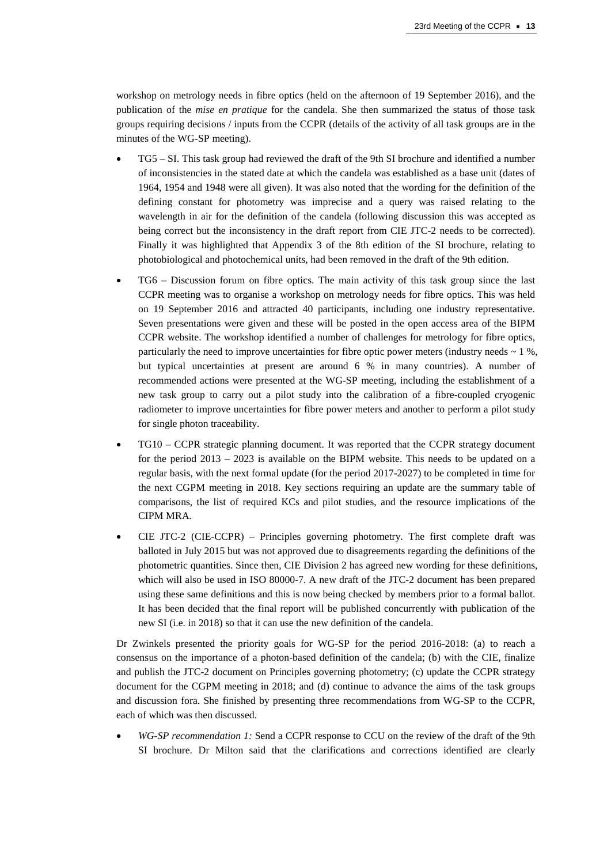workshop on metrology needs in fibre optics (held on the afternoon of 19 September 2016), and the publication of the *mise en pratique* for the candela. She then summarized the status of those task groups requiring decisions / inputs from the CCPR (details of the activity of all task groups are in the minutes of the WG-SP meeting).

- TG5 SI. This task group had reviewed the draft of the 9th SI brochure and identified a number of inconsistencies in the stated date at which the candela was established as a base unit (dates of 1964, 1954 and 1948 were all given). It was also noted that the wording for the definition of the defining constant for photometry was imprecise and a query was raised relating to the wavelength in air for the definition of the candela (following discussion this was accepted as being correct but the inconsistency in the draft report from CIE JTC-2 needs to be corrected). Finally it was highlighted that Appendix 3 of the 8th edition of the SI brochure, relating to photobiological and photochemical units, had been removed in the draft of the 9th edition.
- TG6 Discussion forum on fibre optics. The main activity of this task group since the last CCPR meeting was to organise a workshop on metrology needs for fibre optics. This was held on 19 September 2016 and attracted 40 participants, including one industry representative. Seven presentations were given and these will be posted in the open access area of the BIPM CCPR website. The workshop identified a number of challenges for metrology for fibre optics, particularly the need to improve uncertainties for fibre optic power meters (industry needs  $\sim 1\%$ , but typical uncertainties at present are around 6 % in many countries). A number of recommended actions were presented at the WG-SP meeting, including the establishment of a new task group to carry out a pilot study into the calibration of a fibre-coupled cryogenic radiometer to improve uncertainties for fibre power meters and another to perform a pilot study for single photon traceability.
- TG10 CCPR strategic planning document. It was reported that the CCPR strategy document for the period 2013 – 2023 is available on the BIPM website. This needs to be updated on a regular basis, with the next formal update (for the period 2017-2027) to be completed in time for the next CGPM meeting in 2018. Key sections requiring an update are the summary table of comparisons, the list of required KCs and pilot studies, and the resource implications of the CIPM MRA.
- CIE JTC-2 (CIE-CCPR) Principles governing photometry. The first complete draft was balloted in July 2015 but was not approved due to disagreements regarding the definitions of the photometric quantities. Since then, CIE Division 2 has agreed new wording for these definitions, which will also be used in ISO 80000-7. A new draft of the JTC-2 document has been prepared using these same definitions and this is now being checked by members prior to a formal ballot. It has been decided that the final report will be published concurrently with publication of the new SI (i.e. in 2018) so that it can use the new definition of the candela.

Dr Zwinkels presented the priority goals for WG-SP for the period 2016-2018: (a) to reach a consensus on the importance of a photon-based definition of the candela; (b) with the CIE, finalize and publish the JTC-2 document on Principles governing photometry; (c) update the CCPR strategy document for the CGPM meeting in 2018; and (d) continue to advance the aims of the task groups and discussion fora. She finished by presenting three recommendations from WG-SP to the CCPR, each of which was then discussed.

• *WG-SP recommendation 1:* Send a CCPR response to CCU on the review of the draft of the 9th SI brochure. Dr Milton said that the clarifications and corrections identified are clearly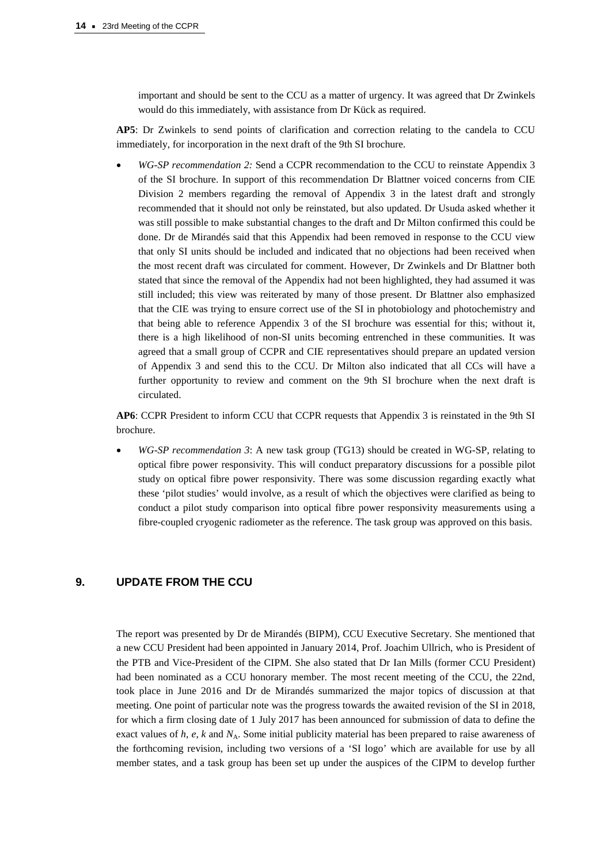important and should be sent to the CCU as a matter of urgency. It was agreed that Dr Zwinkels would do this immediately, with assistance from Dr Kück as required.

**AP5**: Dr Zwinkels to send points of clarification and correction relating to the candela to CCU immediately, for incorporation in the next draft of the 9th SI brochure.

• *WG-SP recommendation 2:* Send a CCPR recommendation to the CCU to reinstate Appendix 3 of the SI brochure. In support of this recommendation Dr Blattner voiced concerns from CIE Division 2 members regarding the removal of Appendix 3 in the latest draft and strongly recommended that it should not only be reinstated, but also updated. Dr Usuda asked whether it was still possible to make substantial changes to the draft and Dr Milton confirmed this could be done. Dr de Mirandés said that this Appendix had been removed in response to the CCU view that only SI units should be included and indicated that no objections had been received when the most recent draft was circulated for comment. However, Dr Zwinkels and Dr Blattner both stated that since the removal of the Appendix had not been highlighted, they had assumed it was still included; this view was reiterated by many of those present. Dr Blattner also emphasized that the CIE was trying to ensure correct use of the SI in photobiology and photochemistry and that being able to reference Appendix 3 of the SI brochure was essential for this; without it, there is a high likelihood of non-SI units becoming entrenched in these communities. It was agreed that a small group of CCPR and CIE representatives should prepare an updated version of Appendix 3 and send this to the CCU. Dr Milton also indicated that all CCs will have a further opportunity to review and comment on the 9th SI brochure when the next draft is circulated.

**AP6**: CCPR President to inform CCU that CCPR requests that Appendix 3 is reinstated in the 9th SI brochure.

• *WG-SP recommendation 3*: A new task group (TG13) should be created in WG-SP, relating to optical fibre power responsivity. This will conduct preparatory discussions for a possible pilot study on optical fibre power responsivity. There was some discussion regarding exactly what these 'pilot studies' would involve, as a result of which the objectives were clarified as being to conduct a pilot study comparison into optical fibre power responsivity measurements using a fibre-coupled cryogenic radiometer as the reference. The task group was approved on this basis.

# **9. UPDATE FROM THE CCU**

The report was presented by Dr de Mirandés (BIPM), CCU Executive Secretary. She mentioned that a new CCU President had been appointed in January 2014, Prof. Joachim Ullrich, who is President of the PTB and Vice-President of the CIPM. She also stated that Dr Ian Mills (former CCU President) had been nominated as a CCU honorary member. The most recent meeting of the CCU, the 22nd, took place in June 2016 and Dr de Mirandés summarized the major topics of discussion at that meeting. One point of particular note was the progress towards the awaited revision of the SI in 2018, for which a firm closing date of 1 July 2017 has been announced for submission of data to define the exact values of *h*, *e*, *k* and *N*<sub>A</sub>. Some initial publicity material has been prepared to raise awareness of the forthcoming revision, including two versions of a 'SI logo' which are available for use by all member states, and a task group has been set up under the auspices of the CIPM to develop further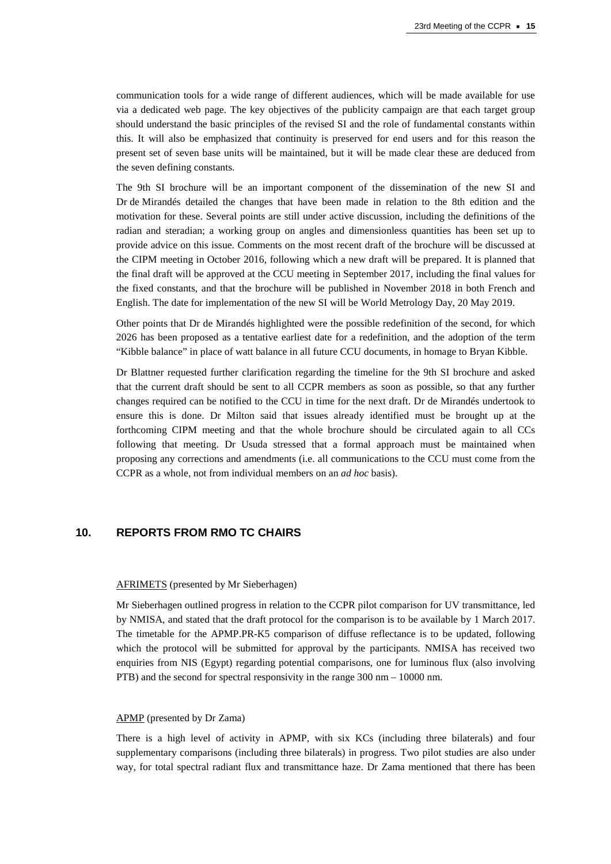communication tools for a wide range of different audiences, which will be made available for use via a dedicated web page. The key objectives of the publicity campaign are that each target group should understand the basic principles of the revised SI and the role of fundamental constants within this. It will also be emphasized that continuity is preserved for end users and for this reason the present set of seven base units will be maintained, but it will be made clear these are deduced from the seven defining constants.

The 9th SI brochure will be an important component of the dissemination of the new SI and Dr de Mirandés detailed the changes that have been made in relation to the 8th edition and the motivation for these. Several points are still under active discussion, including the definitions of the radian and steradian; a working group on angles and dimensionless quantities has been set up to provide advice on this issue. Comments on the most recent draft of the brochure will be discussed at the CIPM meeting in October 2016, following which a new draft will be prepared. It is planned that the final draft will be approved at the CCU meeting in September 2017, including the final values for the fixed constants, and that the brochure will be published in November 2018 in both French and English. The date for implementation of the new SI will be World Metrology Day, 20 May 2019.

Other points that Dr de Mirandés highlighted were the possible redefinition of the second, for which 2026 has been proposed as a tentative earliest date for a redefinition, and the adoption of the term "Kibble balance" in place of watt balance in all future CCU documents, in homage to Bryan Kibble.

Dr Blattner requested further clarification regarding the timeline for the 9th SI brochure and asked that the current draft should be sent to all CCPR members as soon as possible, so that any further changes required can be notified to the CCU in time for the next draft. Dr de Mirandés undertook to ensure this is done. Dr Milton said that issues already identified must be brought up at the forthcoming CIPM meeting and that the whole brochure should be circulated again to all CCs following that meeting. Dr Usuda stressed that a formal approach must be maintained when proposing any corrections and amendments (i.e. all communications to the CCU must come from the CCPR as a whole, not from individual members on an *ad hoc* basis).

# **10. REPORTS FROM RMO TC CHAIRS**

#### AFRIMETS (presented by Mr Sieberhagen)

Mr Sieberhagen outlined progress in relation to the CCPR pilot comparison for UV transmittance, led by NMISA, and stated that the draft protocol for the comparison is to be available by 1 March 2017. The timetable for the APMP.PR-K5 comparison of diffuse reflectance is to be updated, following which the protocol will be submitted for approval by the participants. NMISA has received two enquiries from NIS (Egypt) regarding potential comparisons, one for luminous flux (also involving PTB) and the second for spectral responsivity in the range 300 nm – 10000 nm.

#### APMP (presented by Dr Zama)

There is a high level of activity in APMP, with six KCs (including three bilaterals) and four supplementary comparisons (including three bilaterals) in progress. Two pilot studies are also under way, for total spectral radiant flux and transmittance haze. Dr Zama mentioned that there has been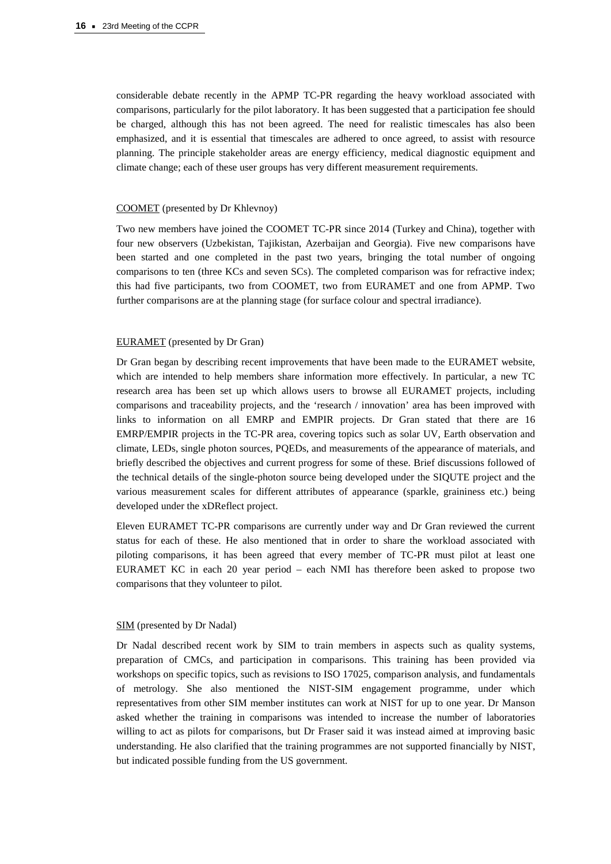considerable debate recently in the APMP TC-PR regarding the heavy workload associated with comparisons, particularly for the pilot laboratory. It has been suggested that a participation fee should be charged, although this has not been agreed. The need for realistic timescales has also been emphasized, and it is essential that timescales are adhered to once agreed, to assist with resource planning. The principle stakeholder areas are energy efficiency, medical diagnostic equipment and climate change; each of these user groups has very different measurement requirements.

#### COOMET (presented by Dr Khlevnoy)

Two new members have joined the COOMET TC-PR since 2014 (Turkey and China), together with four new observers (Uzbekistan, Tajikistan, Azerbaijan and Georgia). Five new comparisons have been started and one completed in the past two years, bringing the total number of ongoing comparisons to ten (three KCs and seven SCs). The completed comparison was for refractive index; this had five participants, two from COOMET, two from EURAMET and one from APMP. Two further comparisons are at the planning stage (for surface colour and spectral irradiance).

#### EURAMET (presented by Dr Gran)

Dr Gran began by describing recent improvements that have been made to the EURAMET website, which are intended to help members share information more effectively. In particular, a new TC research area has been set up which allows users to browse all EURAMET projects, including comparisons and traceability projects, and the 'research / innovation' area has been improved with links to information on all EMRP and EMPIR projects. Dr Gran stated that there are 16 EMRP/EMPIR projects in the TC-PR area, covering topics such as solar UV, Earth observation and climate, LEDs, single photon sources, PQEDs, and measurements of the appearance of materials, and briefly described the objectives and current progress for some of these. Brief discussions followed of the technical details of the single-photon source being developed under the SIQUTE project and the various measurement scales for different attributes of appearance (sparkle, graininess etc.) being developed under the xDReflect project.

Eleven EURAMET TC-PR comparisons are currently under way and Dr Gran reviewed the current status for each of these. He also mentioned that in order to share the workload associated with piloting comparisons, it has been agreed that every member of TC-PR must pilot at least one EURAMET KC in each 20 year period – each NMI has therefore been asked to propose two comparisons that they volunteer to pilot.

#### SIM (presented by Dr Nadal)

Dr Nadal described recent work by SIM to train members in aspects such as quality systems, preparation of CMCs, and participation in comparisons. This training has been provided via workshops on specific topics, such as revisions to ISO 17025, comparison analysis, and fundamentals of metrology. She also mentioned the NIST-SIM engagement programme, under which representatives from other SIM member institutes can work at NIST for up to one year. Dr Manson asked whether the training in comparisons was intended to increase the number of laboratories willing to act as pilots for comparisons, but Dr Fraser said it was instead aimed at improving basic understanding. He also clarified that the training programmes are not supported financially by NIST, but indicated possible funding from the US government.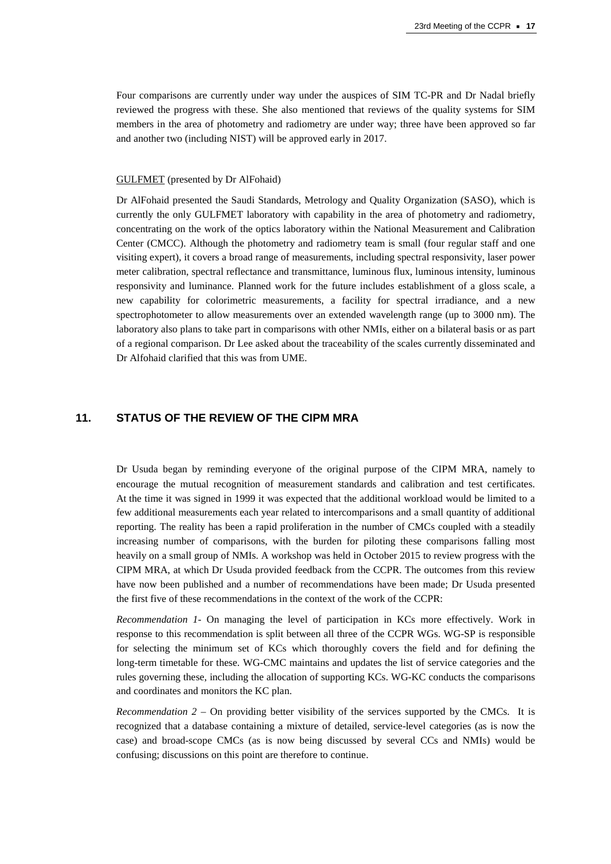Four comparisons are currently under way under the auspices of SIM TC-PR and Dr Nadal briefly reviewed the progress with these. She also mentioned that reviews of the quality systems for SIM members in the area of photometry and radiometry are under way; three have been approved so far and another two (including NIST) will be approved early in 2017.

#### GULFMET (presented by Dr AlFohaid)

Dr AlFohaid presented the Saudi Standards, Metrology and Quality Organization (SASO), which is currently the only GULFMET laboratory with capability in the area of photometry and radiometry, concentrating on the work of the optics laboratory within the National Measurement and Calibration Center (CMCC). Although the photometry and radiometry team is small (four regular staff and one visiting expert), it covers a broad range of measurements, including spectral responsivity, laser power meter calibration, spectral reflectance and transmittance, luminous flux, luminous intensity, luminous responsivity and luminance. Planned work for the future includes establishment of a gloss scale, a new capability for colorimetric measurements, a facility for spectral irradiance, and a new spectrophotometer to allow measurements over an extended wavelength range (up to 3000 nm). The laboratory also plans to take part in comparisons with other NMIs, either on a bilateral basis or as part of a regional comparison. Dr Lee asked about the traceability of the scales currently disseminated and Dr Alfohaid clarified that this was from UME.

#### **11. STATUS OF THE REVIEW OF THE CIPM MRA**

Dr Usuda began by reminding everyone of the original purpose of the CIPM MRA, namely to encourage the mutual recognition of measurement standards and calibration and test certificates. At the time it was signed in 1999 it was expected that the additional workload would be limited to a few additional measurements each year related to intercomparisons and a small quantity of additional reporting. The reality has been a rapid proliferation in the number of CMCs coupled with a steadily increasing number of comparisons, with the burden for piloting these comparisons falling most heavily on a small group of NMIs. A workshop was held in October 2015 to review progress with the CIPM MRA, at which Dr Usuda provided feedback from the CCPR. The outcomes from this review have now been published and a number of recommendations have been made; Dr Usuda presented the first five of these recommendations in the context of the work of the CCPR:

*Recommendation 1*- On managing the level of participation in KCs more effectively. Work in response to this recommendation is split between all three of the CCPR WGs. WG-SP is responsible for selecting the minimum set of KCs which thoroughly covers the field and for defining the long-term timetable for these. WG-CMC maintains and updates the list of service categories and the rules governing these, including the allocation of supporting KCs. WG-KC conducts the comparisons and coordinates and monitors the KC plan.

*Recommendation 2* – On providing better visibility of the services supported by the CMCs. It is recognized that a database containing a mixture of detailed, service-level categories (as is now the case) and broad-scope CMCs (as is now being discussed by several CCs and NMIs) would be confusing; discussions on this point are therefore to continue.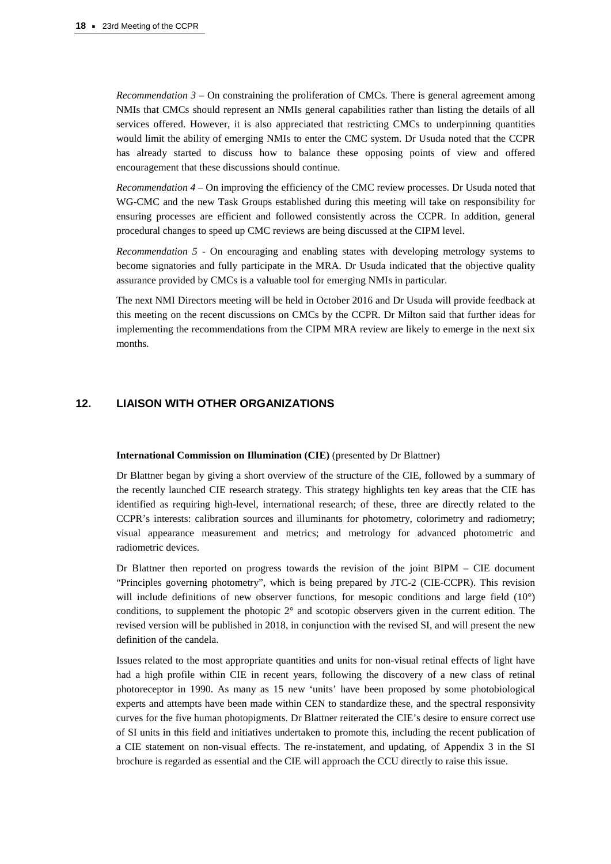*Recommendation 3* – On constraining the proliferation of CMCs. There is general agreement among NMIs that CMCs should represent an NMIs general capabilities rather than listing the details of all services offered. However, it is also appreciated that restricting CMCs to underpinning quantities would limit the ability of emerging NMIs to enter the CMC system. Dr Usuda noted that the CCPR has already started to discuss how to balance these opposing points of view and offered encouragement that these discussions should continue.

*Recommendation 4* – On improving the efficiency of the CMC review processes. Dr Usuda noted that WG-CMC and the new Task Groups established during this meeting will take on responsibility for ensuring processes are efficient and followed consistently across the CCPR. In addition, general procedural changes to speed up CMC reviews are being discussed at the CIPM level.

*Recommendation 5* - On encouraging and enabling states with developing metrology systems to become signatories and fully participate in the MRA. Dr Usuda indicated that the objective quality assurance provided by CMCs is a valuable tool for emerging NMIs in particular.

The next NMI Directors meeting will be held in October 2016 and Dr Usuda will provide feedback at this meeting on the recent discussions on CMCs by the CCPR. Dr Milton said that further ideas for implementing the recommendations from the CIPM MRA review are likely to emerge in the next six months.

# **12. LIAISON WITH OTHER ORGANIZATIONS**

#### **International Commission on Illumination (CIE)** (presented by Dr Blattner)

Dr Blattner began by giving a short overview of the structure of the CIE, followed by a summary of the recently launched CIE research strategy. This strategy highlights ten key areas that the CIE has identified as requiring high-level, international research; of these, three are directly related to the CCPR's interests: calibration sources and illuminants for photometry, colorimetry and radiometry; visual appearance measurement and metrics; and metrology for advanced photometric and radiometric devices.

Dr Blattner then reported on progress towards the revision of the joint BIPM – CIE document "Principles governing photometry", which is being prepared by JTC-2 (CIE-CCPR). This revision will include definitions of new observer functions, for mesopic conditions and large field (10°) conditions, to supplement the photopic 2° and scotopic observers given in the current edition. The revised version will be published in 2018, in conjunction with the revised SI, and will present the new definition of the candela.

Issues related to the most appropriate quantities and units for non-visual retinal effects of light have had a high profile within CIE in recent years, following the discovery of a new class of retinal photoreceptor in 1990. As many as 15 new 'units' have been proposed by some photobiological experts and attempts have been made within CEN to standardize these, and the spectral responsivity curves for the five human photopigments. Dr Blattner reiterated the CIE's desire to ensure correct use of SI units in this field and initiatives undertaken to promote this, including the recent publication of a CIE statement on non-visual effects. The re-instatement, and updating, of Appendix 3 in the SI brochure is regarded as essential and the CIE will approach the CCU directly to raise this issue.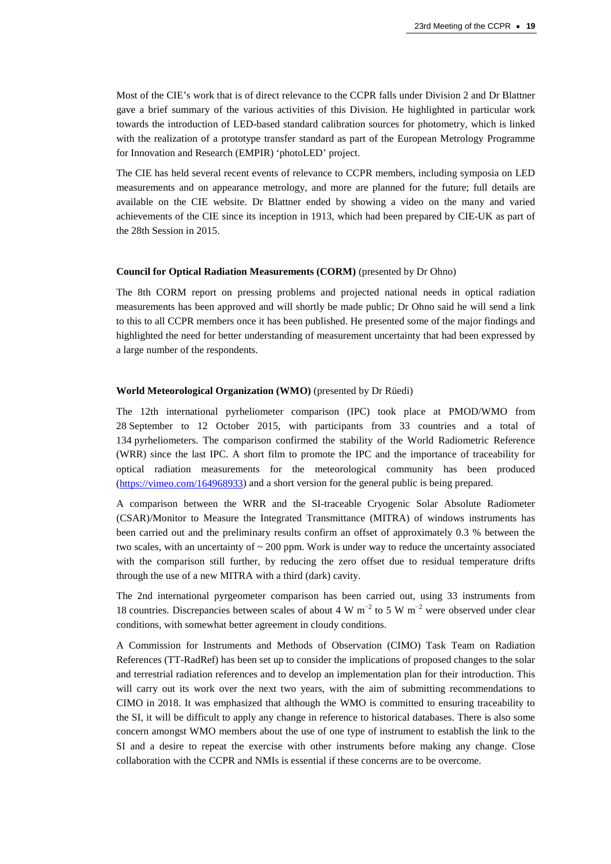Most of the CIE's work that is of direct relevance to the CCPR falls under Division 2 and Dr Blattner gave a brief summary of the various activities of this Division. He highlighted in particular work towards the introduction of LED-based standard calibration sources for photometry, which is linked with the realization of a prototype transfer standard as part of the European Metrology Programme for Innovation and Research (EMPIR) 'photoLED' project.

The CIE has held several recent events of relevance to CCPR members, including symposia on LED measurements and on appearance metrology, and more are planned for the future; full details are available on the CIE website. Dr Blattner ended by showing a video on the many and varied achievements of the CIE since its inception in 1913, which had been prepared by CIE-UK as part of the 28th Session in 2015.

#### **Council for Optical Radiation Measurements (CORM)** (presented by Dr Ohno)

The 8th CORM report on pressing problems and projected national needs in optical radiation measurements has been approved and will shortly be made public; Dr Ohno said he will send a link to this to all CCPR members once it has been published. He presented some of the major findings and highlighted the need for better understanding of measurement uncertainty that had been expressed by a large number of the respondents.

#### **World Meteorological Organization (WMO)** (presented by Dr Rüedi)

The 12th international pyrheliometer comparison (IPC) took place at PMOD/WMO from 28 September to 12 October 2015, with participants from 33 countries and a total of 134 pyrheliometers. The comparison confirmed the stability of the World Radiometric Reference (WRR) since the last IPC. A short film to promote the IPC and the importance of traceability for optical radiation measurements for the meteorological community has been produced [\(https://vimeo.com/164968933\)](https://vimeo.com/164968933) and a short version for the general public is being prepared.

A comparison between the WRR and the SI-traceable Cryogenic Solar Absolute Radiometer (CSAR)/Monitor to Measure the Integrated Transmittance (MITRA) of windows instruments has been carried out and the preliminary results confirm an offset of approximately 0.3 % between the two scales, with an uncertainty of  $\sim$  200 ppm. Work is under way to reduce the uncertainty associated with the comparison still further, by reducing the zero offset due to residual temperature drifts through the use of a new MITRA with a third (dark) cavity.

The 2nd international pyrgeometer comparison has been carried out, using 33 instruments from 18 countries. Discrepancies between scales of about 4 W m<sup>−</sup><sup>2</sup> to 5 W m<sup>−</sup><sup>2</sup> were observed under clear conditions, with somewhat better agreement in cloudy conditions.

A Commission for Instruments and Methods of Observation (CIMO) Task Team on Radiation References (TT-RadRef) has been set up to consider the implications of proposed changes to the solar and terrestrial radiation references and to develop an implementation plan for their introduction. This will carry out its work over the next two years, with the aim of submitting recommendations to CIMO in 2018. It was emphasized that although the WMO is committed to ensuring traceability to the SI, it will be difficult to apply any change in reference to historical databases. There is also some concern amongst WMO members about the use of one type of instrument to establish the link to the SI and a desire to repeat the exercise with other instruments before making any change. Close collaboration with the CCPR and NMIs is essential if these concerns are to be overcome.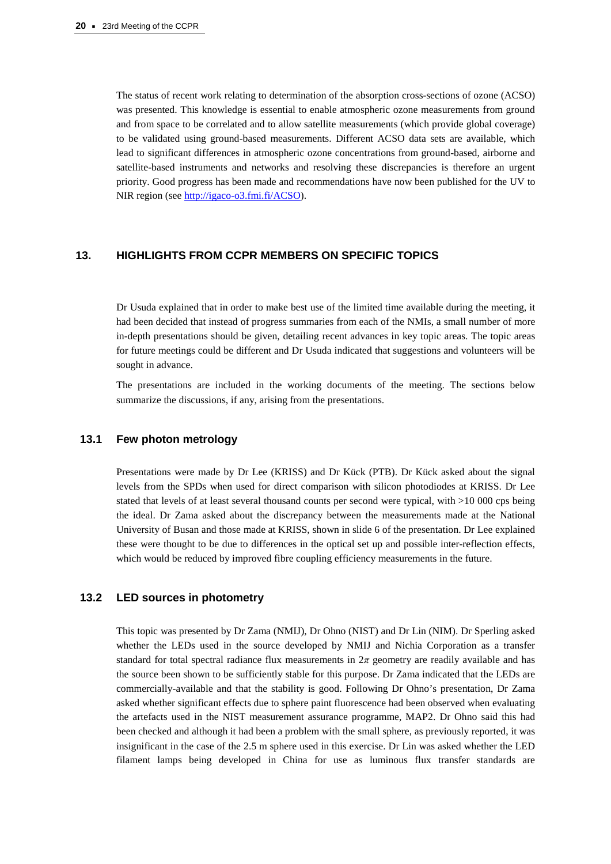The status of recent work relating to determination of the absorption cross-sections of ozone (ACSO) was presented. This knowledge is essential to enable atmospheric ozone measurements from ground and from space to be correlated and to allow satellite measurements (which provide global coverage) to be validated using ground-based measurements. Different ACSO data sets are available, which lead to significant differences in atmospheric ozone concentrations from ground-based, airborne and satellite-based instruments and networks and resolving these discrepancies is therefore an urgent priority. Good progress has been made and recommendations have now been published for the UV to NIR region (see http://igaco-o3.fmi.fi/ACSO).

### **13. HIGHLIGHTS FROM CCPR MEMBERS ON SPECIFIC TOPICS**

Dr Usuda explained that in order to make best use of the limited time available during the meeting, it had been decided that instead of progress summaries from each of the NMIs, a small number of more in-depth presentations should be given, detailing recent advances in key topic areas. The topic areas for future meetings could be different and Dr Usuda indicated that suggestions and volunteers will be sought in advance.

The presentations are included in the working documents of the meeting. The sections below summarize the discussions, if any, arising from the presentations.

# **13.1 Few photon metrology**

Presentations were made by Dr Lee (KRISS) and Dr Kück (PTB). Dr Kück asked about the signal levels from the SPDs when used for direct comparison with silicon photodiodes at KRISS. Dr Lee stated that levels of at least several thousand counts per second were typical, with >10 000 cps being the ideal. Dr Zama asked about the discrepancy between the measurements made at the National University of Busan and those made at KRISS, shown in slide 6 of the presentation. Dr Lee explained these were thought to be due to differences in the optical set up and possible inter-reflection effects, which would be reduced by improved fibre coupling efficiency measurements in the future.

# **13.2 LED sources in photometry**

This topic was presented by Dr Zama (NMIJ), Dr Ohno (NIST) and Dr Lin (NIM). Dr Sperling asked whether the LEDs used in the source developed by NMIJ and Nichia Corporation as a transfer standard for total spectral radiance flux measurements in  $2\pi$  geometry are readily available and has the source been shown to be sufficiently stable for this purpose. Dr Zama indicated that the LEDs are commercially-available and that the stability is good. Following Dr Ohno's presentation, Dr Zama asked whether significant effects due to sphere paint fluorescence had been observed when evaluating the artefacts used in the NIST measurement assurance programme, MAP2. Dr Ohno said this had been checked and although it had been a problem with the small sphere, as previously reported, it was insignificant in the case of the 2.5 m sphere used in this exercise. Dr Lin was asked whether the LED filament lamps being developed in China for use as luminous flux transfer standards are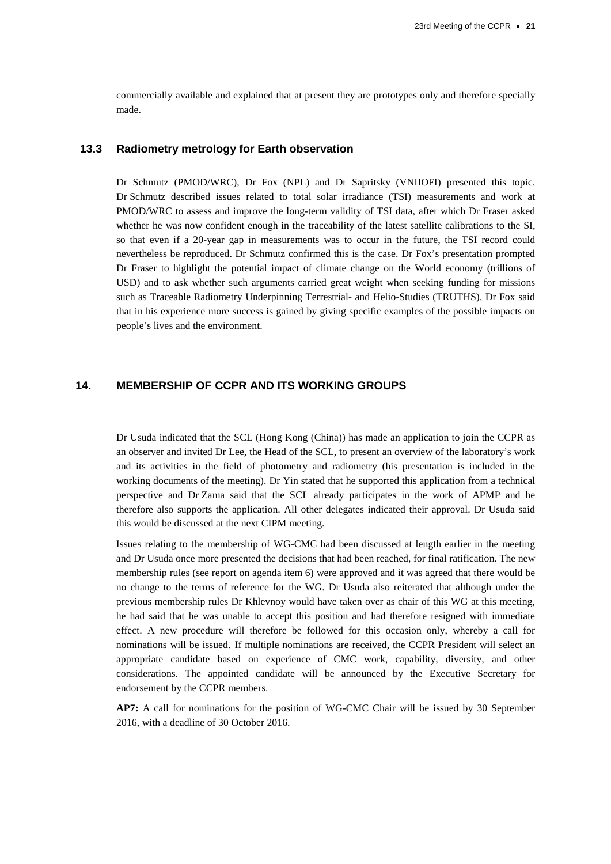commercially available and explained that at present they are prototypes only and therefore specially made.

#### **13.3 Radiometry metrology for Earth observation**

Dr Schmutz (PMOD/WRC), Dr Fox (NPL) and Dr Sapritsky (VNIIOFI) presented this topic. Dr Schmutz described issues related to total solar irradiance (TSI) measurements and work at PMOD/WRC to assess and improve the long-term validity of TSI data, after which Dr Fraser asked whether he was now confident enough in the traceability of the latest satellite calibrations to the SI, so that even if a 20-year gap in measurements was to occur in the future, the TSI record could nevertheless be reproduced. Dr Schmutz confirmed this is the case. Dr Fox's presentation prompted Dr Fraser to highlight the potential impact of climate change on the World economy (trillions of USD) and to ask whether such arguments carried great weight when seeking funding for missions such as Traceable Radiometry Underpinning Terrestrial- and Helio-Studies (TRUTHS). Dr Fox said that in his experience more success is gained by giving specific examples of the possible impacts on people's lives and the environment.

# **14. MEMBERSHIP OF CCPR AND ITS WORKING GROUPS**

Dr Usuda indicated that the SCL (Hong Kong (China)) has made an application to join the CCPR as an observer and invited Dr Lee, the Head of the SCL, to present an overview of the laboratory's work and its activities in the field of photometry and radiometry (his presentation is included in the working documents of the meeting). Dr Yin stated that he supported this application from a technical perspective and Dr Zama said that the SCL already participates in the work of APMP and he therefore also supports the application. All other delegates indicated their approval. Dr Usuda said this would be discussed at the next CIPM meeting.

Issues relating to the membership of WG-CMC had been discussed at length earlier in the meeting and Dr Usuda once more presented the decisions that had been reached, for final ratification. The new membership rules (see report on agenda item 6) were approved and it was agreed that there would be no change to the terms of reference for the WG. Dr Usuda also reiterated that although under the previous membership rules Dr Khlevnoy would have taken over as chair of this WG at this meeting, he had said that he was unable to accept this position and had therefore resigned with immediate effect. A new procedure will therefore be followed for this occasion only, whereby a call for nominations will be issued. If multiple nominations are received, the CCPR President will select an appropriate candidate based on experience of CMC work, capability, diversity, and other considerations. The appointed candidate will be announced by the Executive Secretary for endorsement by the CCPR members.

**AP7:** A call for nominations for the position of WG-CMC Chair will be issued by 30 September 2016, with a deadline of 30 October 2016.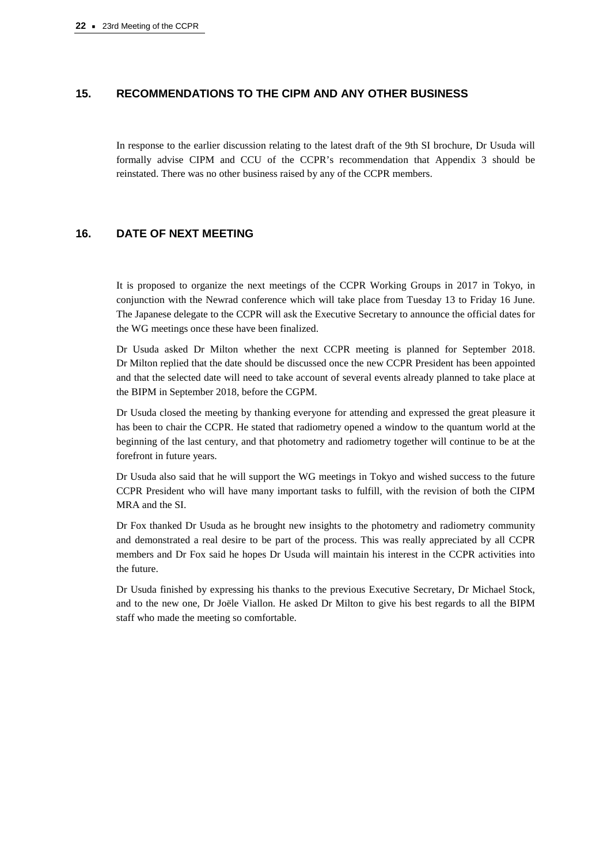# **15. RECOMMENDATIONS TO THE CIPM AND ANY OTHER BUSINESS**

In response to the earlier discussion relating to the latest draft of the 9th SI brochure, Dr Usuda will formally advise CIPM and CCU of the CCPR's recommendation that Appendix 3 should be reinstated. There was no other business raised by any of the CCPR members.

# **16. DATE OF NEXT MEETING**

It is proposed to organize the next meetings of the CCPR Working Groups in 2017 in Tokyo, in conjunction with the Newrad conference which will take place from Tuesday 13 to Friday 16 June. The Japanese delegate to the CCPR will ask the Executive Secretary to announce the official dates for the WG meetings once these have been finalized.

Dr Usuda asked Dr Milton whether the next CCPR meeting is planned for September 2018. Dr Milton replied that the date should be discussed once the new CCPR President has been appointed and that the selected date will need to take account of several events already planned to take place at the BIPM in September 2018, before the CGPM.

Dr Usuda closed the meeting by thanking everyone for attending and expressed the great pleasure it has been to chair the CCPR. He stated that radiometry opened a window to the quantum world at the beginning of the last century, and that photometry and radiometry together will continue to be at the forefront in future years.

Dr Usuda also said that he will support the WG meetings in Tokyo and wished success to the future CCPR President who will have many important tasks to fulfill, with the revision of both the CIPM MRA and the SI.

Dr Fox thanked Dr Usuda as he brought new insights to the photometry and radiometry community and demonstrated a real desire to be part of the process. This was really appreciated by all CCPR members and Dr Fox said he hopes Dr Usuda will maintain his interest in the CCPR activities into the future.

Dr Usuda finished by expressing his thanks to the previous Executive Secretary, Dr Michael Stock, and to the new one, Dr Joële Viallon. He asked Dr Milton to give his best regards to all the BIPM staff who made the meeting so comfortable.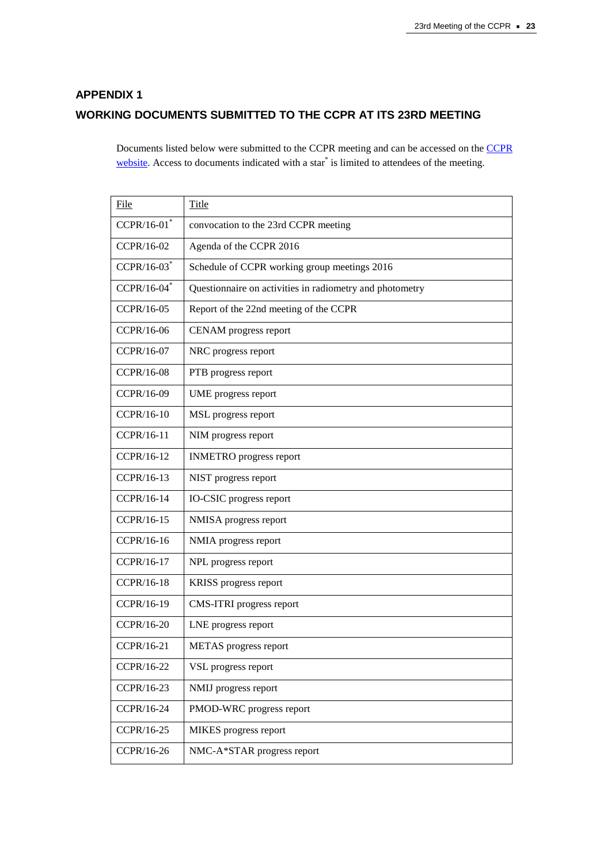# **APPENDIX 1 WORKING DOCUMENTS SUBMITTED TO THE CCPR AT ITS 23RD MEETING**

Documents listed below were submitted to the CCPR meeting and can be accessed on the [CCPR](http://www.bipm.org/cc/CCPR/Restricted/WorkingDocuments.jsp) [website.](http://www.bipm.org/cc/CCPR/Restricted/WorkingDocuments.jsp) Access to documents indicated with a star<sup>\*</sup> is limited to attendees of the meeting.

| File              | Title                                                    |
|-------------------|----------------------------------------------------------|
| $CCPR/16-01$      | convocation to the 23rd CCPR meeting                     |
| CCPR/16-02        | Agenda of the CCPR 2016                                  |
| CCPR/16-03*       | Schedule of CCPR working group meetings 2016             |
| CCPR/16-04*       | Questionnaire on activities in radiometry and photometry |
| CCPR/16-05        | Report of the 22nd meeting of the CCPR                   |
| CCPR/16-06        | CENAM progress report                                    |
| CCPR/16-07        | NRC progress report                                      |
| <b>CCPR/16-08</b> | PTB progress report                                      |
| CCPR/16-09        | UME progress report                                      |
| CCPR/16-10        | MSL progress report                                      |
| CCPR/16-11        | NIM progress report                                      |
| CCPR/16-12        | <b>INMETRO</b> progress report                           |
| CCPR/16-13        | NIST progress report                                     |
| CCPR/16-14        | IO-CSIC progress report                                  |
| CCPR/16-15        | NMISA progress report                                    |
| CCPR/16-16        | NMIA progress report                                     |
| CCPR/16-17        | NPL progress report                                      |
| CCPR/16-18        | KRISS progress report                                    |
| CCPR/16-19        | CMS-ITRI progress report                                 |
| CCPR/16-20        | LNE progress report                                      |
| CCPR/16-21        | METAS progress report                                    |
| CCPR/16-22        | VSL progress report                                      |
| CCPR/16-23        | NMIJ progress report                                     |
| CCPR/16-24        | PMOD-WRC progress report                                 |
| CCPR/16-25        | MIKES progress report                                    |
| CCPR/16-26        | NMC-A*STAR progress report                               |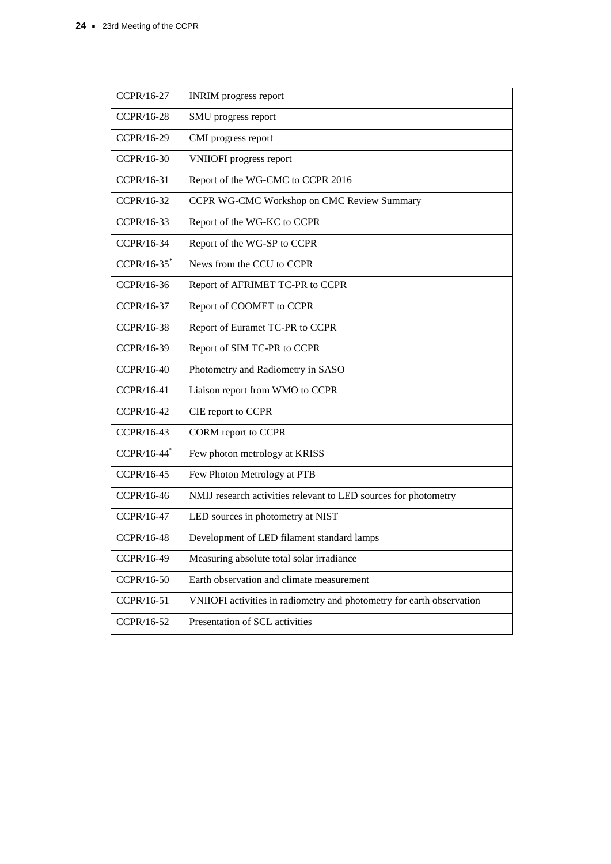| CCPR/16-27                | <b>INRIM</b> progress report                                          |
|---------------------------|-----------------------------------------------------------------------|
| CCPR/16-28                | SMU progress report                                                   |
| CCPR/16-29                | CMI progress report                                                   |
| CCPR/16-30                | <b>VNIIOFI</b> progress report                                        |
| CCPR/16-31                | Report of the WG-CMC to CCPR 2016                                     |
| CCPR/16-32                | CCPR WG-CMC Workshop on CMC Review Summary                            |
| CCPR/16-33                | Report of the WG-KC to CCPR                                           |
| CCPR/16-34                | Report of the WG-SP to CCPR                                           |
| $CCPR/16-35$              | News from the CCU to CCPR                                             |
| CCPR/16-36                | Report of AFRIMET TC-PR to CCPR                                       |
| CCPR/16-37                | Report of COOMET to CCPR                                              |
| CCPR/16-38                | Report of Euramet TC-PR to CCPR                                       |
| CCPR/16-39                | Report of SIM TC-PR to CCPR                                           |
| CCPR/16-40                | Photometry and Radiometry in SASO                                     |
| CCPR/16-41                | Liaison report from WMO to CCPR                                       |
| CCPR/16-42                | CIE report to CCPR                                                    |
| CCPR/16-43                | CORM report to CCPR                                                   |
| $CCPR/16-44$ <sup>*</sup> | Few photon metrology at KRISS                                         |
| CCPR/16-45                | Few Photon Metrology at PTB                                           |
| CCPR/16-46                | NMIJ research activities relevant to LED sources for photometry       |
| CCPR/16-47                | LED sources in photometry at NIST                                     |
| CCPR/16-48                | Development of LED filament standard lamps                            |
| CCPR/16-49                | Measuring absolute total solar irradiance                             |
| CCPR/16-50                | Earth observation and climate measurement                             |
| CCPR/16-51                | VNIIOFI activities in radiometry and photometry for earth observation |
| CCPR/16-52                | Presentation of SCL activities                                        |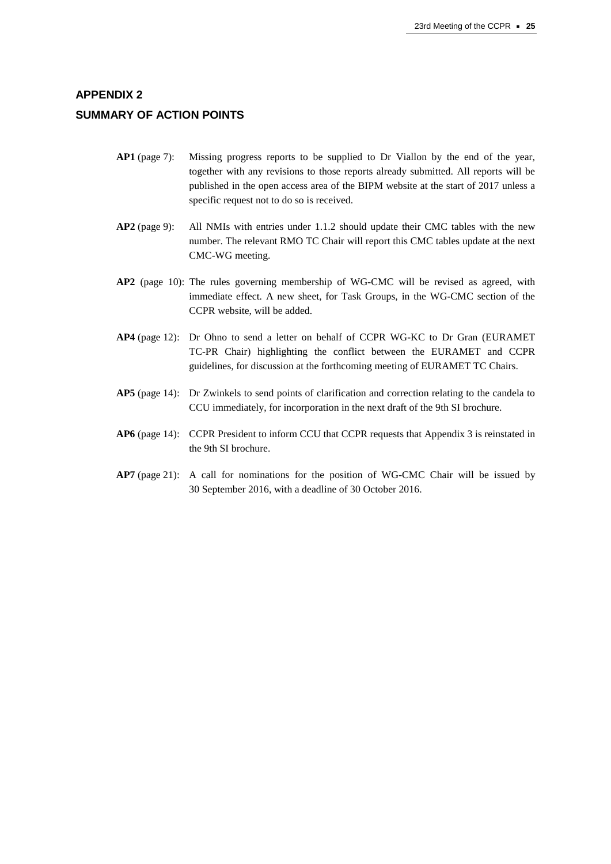# **APPENDIX 2 SUMMARY OF ACTION POINTS**

- **AP1** (page 7): Missing progress reports to be supplied to Dr Viallon by the end of the year, together with any revisions to those reports already submitted. All reports will be published in the open access area of the BIPM website at the start of 2017 unless a specific request not to do so is received.
- **AP2** (page 9): All NMIs with entries under 1.1.2 should update their CMC tables with the new number. The relevant RMO TC Chair will report this CMC tables update at the next CMC-WG meeting.
- **AP2** (page 10): The rules governing membership of WG-CMC will be revised as agreed, with immediate effect. A new sheet, for Task Groups, in the WG-CMC section of the CCPR website, will be added.
- **AP4** (page 12): Dr Ohno to send a letter on behalf of CCPR WG-KC to Dr Gran (EURAMET TC-PR Chair) highlighting the conflict between the EURAMET and CCPR guidelines, for discussion at the forthcoming meeting of EURAMET TC Chairs.
- **AP5** (page 14): Dr Zwinkels to send points of clarification and correction relating to the candela to CCU immediately, for incorporation in the next draft of the 9th SI brochure.
- **AP6** (page 14): CCPR President to inform CCU that CCPR requests that Appendix 3 is reinstated in the 9th SI brochure.
- **AP7** (page 21): A call for nominations for the position of WG-CMC Chair will be issued by 30 September 2016, with a deadline of 30 October 2016.